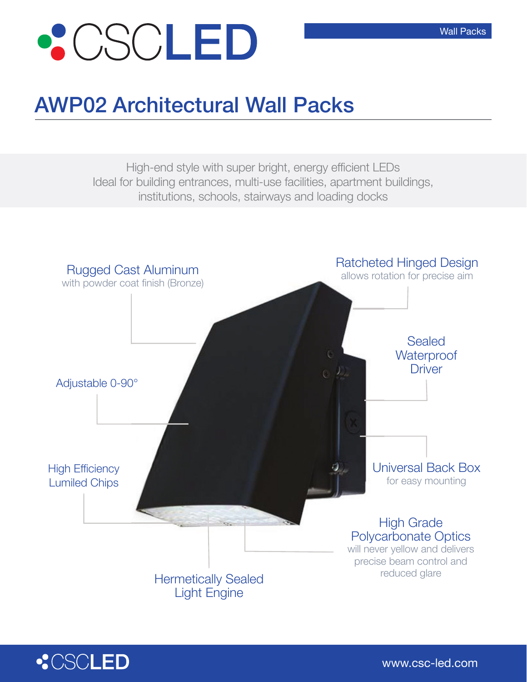

## AWP02 Architectural Wall Packs

High-end style with super bright, energy efficient LEDs Ideal for building entrances, multi-use facilities, apartment buildings, institutions, schools, stairways and loading docks





Wall Packs